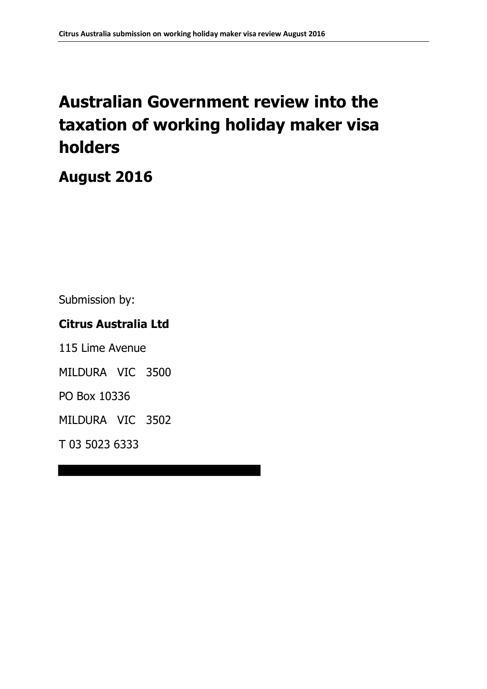# **Australian Government review into the taxation of working holiday maker visa holders**

## **August 2016**

Submission by:

### **Citrus Australia Ltd**

115 Lime Avenue MILDURA VIC 3500 PO Box 10336

MILDURA VIC 3502

T 03 5023 6333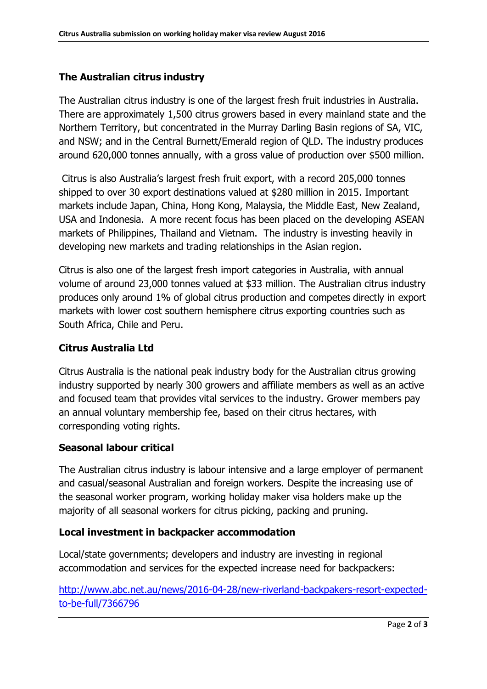#### **The Australian citrus industry**

The Australian citrus industry is one of the largest fresh fruit industries in Australia. There are approximately 1,500 citrus growers based in every mainland state and the Northern Territory, but concentrated in the Murray Darling Basin regions of SA, VIC, and NSW; and in the Central Burnett/Emerald region of QLD. The industry produces around 620,000 tonnes annually, with a gross value of production over \$500 million.

Citrus is also Australia's largest fresh fruit export, with a record 205,000 tonnes shipped to over 30 export destinations valued at \$280 million in 2015. Important markets include Japan, China, Hong Kong, Malaysia, the Middle East, New Zealand, USA and Indonesia. A more recent focus has been placed on the developing ASEAN markets of Philippines, Thailand and Vietnam. The industry is investing heavily in developing new markets and trading relationships in the Asian region.

Citrus is also one of the largest fresh import categories in Australia, with annual volume of around 23,000 tonnes valued at \$33 million. The Australian citrus industry produces only around 1% of global citrus production and competes directly in export markets with lower cost southern hemisphere citrus exporting countries such as South Africa, Chile and Peru.

#### **Citrus Australia Ltd**

Citrus Australia is the national peak industry body for the Australian citrus growing industry supported by nearly 300 growers and affiliate members as well as an active and focused team that provides vital services to the industry. Grower members pay an annual voluntary membership fee, based on their citrus hectares, with corresponding voting rights.

#### **Seasonal labour critical**

The Australian citrus industry is labour intensive and a large employer of permanent and casual/seasonal Australian and foreign workers. Despite the increasing use of the seasonal worker program, working holiday maker visa holders make up the majority of all seasonal workers for citrus picking, packing and pruning.

#### **Local investment in backpacker accommodation**

Local/state governments; developers and industry are investing in regional accommodation and services for the expected increase need for backpackers:

[http://www.abc.net.au/news/2016-04-28/new-riverland-backpakers-resort-expected](http://www.abc.net.au/news/2016-04-28/new-riverland-backpakers-resort-expected-to-be-full/7366796)[to-be-full/7366796](http://www.abc.net.au/news/2016-04-28/new-riverland-backpakers-resort-expected-to-be-full/7366796)